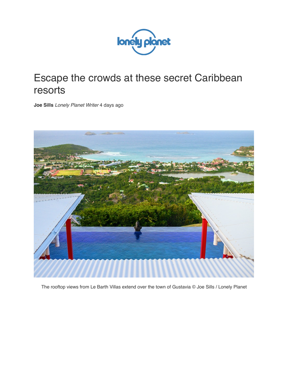

## Escape the crowds at these secret Caribbean resorts

**Joe Sills** *Lonely Planet Writer* 4 days ago



The rooftop views from Le Barth Villas extend over the town of Gustavia © Joe Sills / Lonely Planet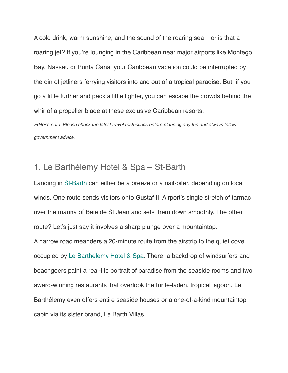A cold drink, warm sunshine, and the sound of the roaring sea – or is that a roaring jet? If you're lounging in the Caribbean near major airports like Montego Bay, Nassau or Punta Cana, your Caribbean vacation could be interrupted by the din of jetliners ferrying visitors into and out of a tropical paradise. But, if you go a little further and pack a little lighter, you can escape the crowds behind the whir of a propeller blade at these exclusive Caribbean resorts. *Editor's note: Please check the latest travel restrictions before planning any trip and always follow* 

*government advice.*

## 1. Le Barthélemy Hotel & Spa – St-Barth

Landing in [St-Barth](https://www.lonelyplanet.com/st-barthelemy) can either be a breeze or a nail-biter, depending on local winds. One route sends visitors onto Gustaf III Airport's single stretch of tarmac over the marina of Baie de St Jean and sets them down smoothly. The other route? Let's just say it involves a sharp plunge over a mountaintop. A narrow road meanders a 20-minute route from the airstrip to the quiet cove occupied by [Le Barthélemy Hotel & Spa](https://www.lebarthelemyhotel.com/en). There, a backdrop of windsurfers and beachgoers paint a real-life portrait of paradise from the seaside rooms and two award-winning restaurants that overlook the turtle-laden, tropical lagoon. Le Barthélemy even offers entire seaside houses or a one-of-a-kind mountaintop cabin via its sister brand, Le Barth Villas.